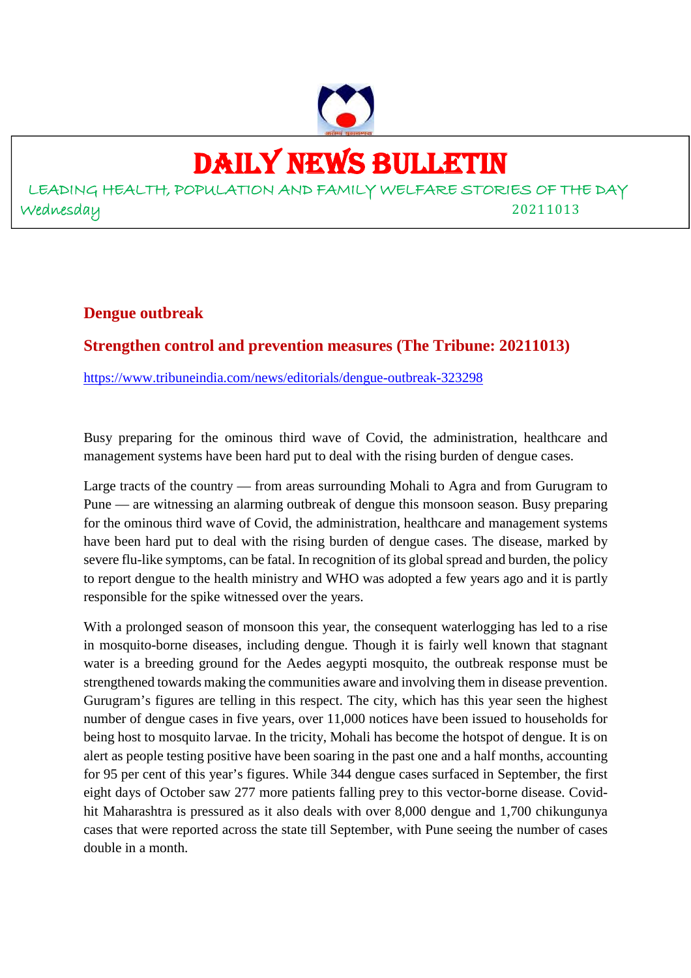# DAILY NEWS BULLETIN

LEADING HEALTH, POPULATION AND FAMILY WELFARE STORIES OF THE DAY Wednesday 20211013

#### **Dengue outbreak**

#### **Strengthen control and prevention measures (The Tribune: 20211013)**

https://www.tribuneindia.com/news/editorials/dengue-outbreak-323298

Busy preparing for the ominous third wave of Covid, the administration, healthcare and management systems have been hard put to deal with the rising burden of dengue cases.

Large tracts of the country — from areas surrounding Mohali to Agra and from Gurugram to Pune — are witnessing an alarming outbreak of dengue this monsoon season. Busy preparing for the ominous third wave of Covid, the administration, healthcare and management systems have been hard put to deal with the rising burden of dengue cases. The disease, marked by severe flu-like symptoms, can be fatal. In recognition of its global spread and burden, the policy to report dengue to the health ministry and WHO was adopted a few years ago and it is partly responsible for the spike witnessed over the years.

With a prolonged season of monsoon this year, the consequent waterlogging has led to a rise in mosquito-borne diseases, including dengue. Though it is fairly well known that stagnant water is a breeding ground for the Aedes aegypti mosquito, the outbreak response must be strengthened towards making the communities aware and involving them in disease prevention. Gurugram's figures are telling in this respect. The city, which has this year seen the highest number of dengue cases in five years, over 11,000 notices have been issued to households for being host to mosquito larvae. In the tricity, Mohali has become the hotspot of dengue. It is on alert as people testing positive have been soaring in the past one and a half months, accounting for 95 per cent of this year's figures. While 344 dengue cases surfaced in September, the first eight days of October saw 277 more patients falling prey to this vector-borne disease. Covidhit Maharashtra is pressured as it also deals with over 8,000 dengue and 1,700 chikungunya cases that were reported across the state till September, with Pune seeing the number of cases double in a month.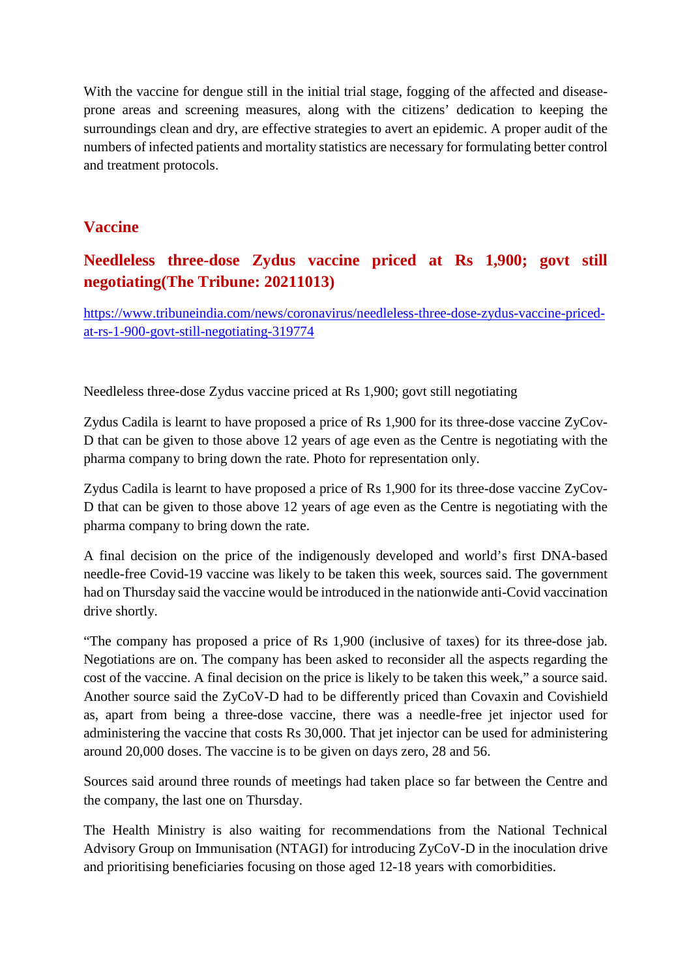With the vaccine for dengue still in the initial trial stage, fogging of the affected and diseaseprone areas and screening measures, along with the citizens' dedication to keeping the surroundings clean and dry, are effective strategies to avert an epidemic. A proper audit of the numbers of infected patients and mortality statistics are necessary for formulating better control and treatment protocols.

#### **Vaccine**

# **Needleless three-dose Zydus vaccine priced at Rs 1,900; govt still negotiating(The Tribune: 20211013)**

https://www.tribuneindia.com/news/coronavirus/needleless-three-dose-zydus-vaccine-pricedat-rs-1-900-govt-still-negotiating-319774

Needleless three-dose Zydus vaccine priced at Rs 1,900; govt still negotiating

Zydus Cadila is learnt to have proposed a price of Rs 1,900 for its three-dose vaccine ZyCov-D that can be given to those above 12 years of age even as the Centre is negotiating with the pharma company to bring down the rate. Photo for representation only.

Zydus Cadila is learnt to have proposed a price of Rs 1,900 for its three-dose vaccine ZyCov-D that can be given to those above 12 years of age even as the Centre is negotiating with the pharma company to bring down the rate.

A final decision on the price of the indigenously developed and world's first DNA-based needle-free Covid-19 vaccine was likely to be taken this week, sources said. The government had on Thursday said the vaccine would be introduced in the nationwide anti-Covid vaccination drive shortly.

"The company has proposed a price of Rs 1,900 (inclusive of taxes) for its three-dose jab. Negotiations are on. The company has been asked to reconsider all the aspects regarding the cost of the vaccine. A final decision on the price is likely to be taken this week," a source said. Another source said the ZyCoV-D had to be differently priced than Covaxin and Covishield as, apart from being a three-dose vaccine, there was a needle-free jet injector used for administering the vaccine that costs Rs 30,000. That jet injector can be used for administering around 20,000 doses. The vaccine is to be given on days zero, 28 and 56.

Sources said around three rounds of meetings had taken place so far between the Centre and the company, the last one on Thursday.

The Health Ministry is also waiting for recommendations from the National Technical Advisory Group on Immunisation (NTAGI) for introducing ZyCoV-D in the inoculation drive and prioritising beneficiaries focusing on those aged 12-18 years with comorbidities.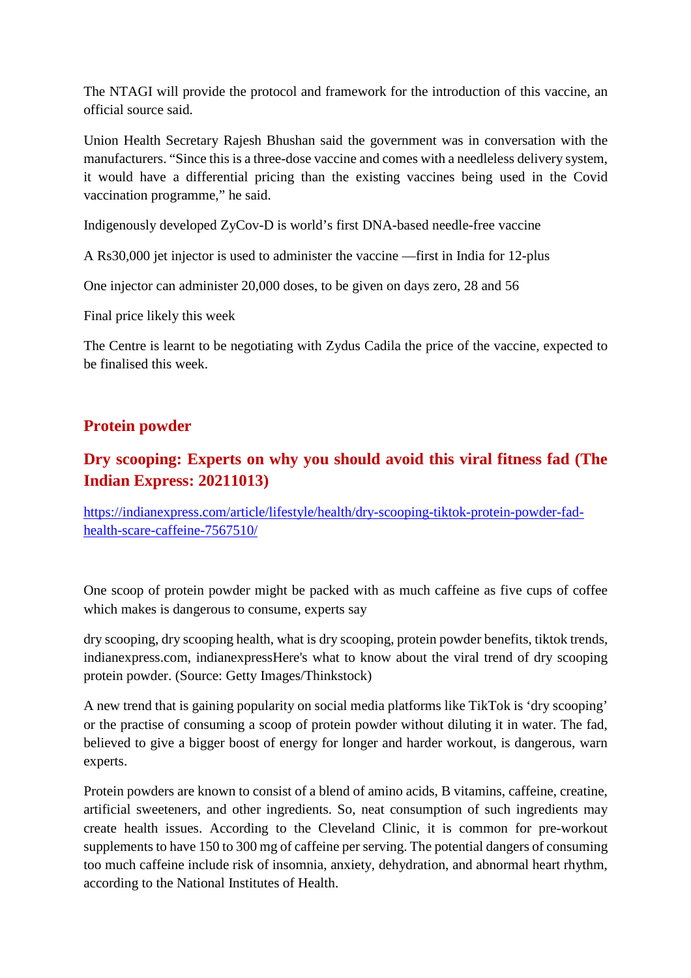The NTAGI will provide the protocol and framework for the introduction of this vaccine, an official source said.

Union Health Secretary Rajesh Bhushan said the government was in conversation with the manufacturers. "Since this is a three-dose vaccine and comes with a needleless delivery system, it would have a differential pricing than the existing vaccines being used in the Covid vaccination programme," he said.

Indigenously developed ZyCov-D is world's first DNA-based needle-free vaccine

A Rs30,000 jet injector is used to administer the vaccine —first in India for 12-plus

One injector can administer 20,000 doses, to be given on days zero, 28 and 56

Final price likely this week

The Centre is learnt to be negotiating with Zydus Cadila the price of the vaccine, expected to be finalised this week.

#### **Protein powder**

# **Dry scooping: Experts on why you should avoid this viral fitness fad (The Indian Express: 20211013)**

https://indianexpress.com/article/lifestyle/health/dry-scooping-tiktok-protein-powder-fadhealth-scare-caffeine-7567510/

One scoop of protein powder might be packed with as much caffeine as five cups of coffee which makes is dangerous to consume, experts say

dry scooping, dry scooping health, what is dry scooping, protein powder benefits, tiktok trends, indianexpress.com, indianexpressHere's what to know about the viral trend of dry scooping protein powder. (Source: Getty Images/Thinkstock)

A new trend that is gaining popularity on social media platforms like TikTok is 'dry scooping' or the practise of consuming a scoop of protein powder without diluting it in water. The fad, believed to give a bigger boost of energy for longer and harder workout, is dangerous, warn experts.

Protein powders are known to consist of a blend of amino acids, B vitamins, caffeine, creatine, artificial sweeteners, and other ingredients. So, neat consumption of such ingredients may create health issues. According to the Cleveland Clinic, it is common for pre-workout supplements to have 150 to 300 mg of caffeine per serving. The potential dangers of consuming too much caffeine include risk of insomnia, anxiety, dehydration, and abnormal heart rhythm, according to the National Institutes of Health.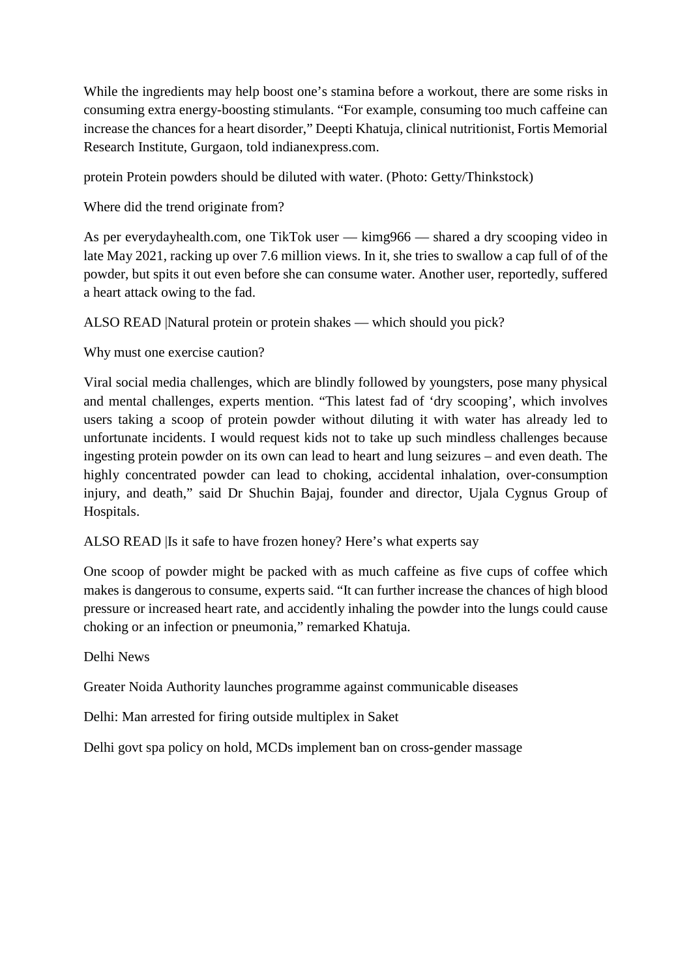While the ingredients may help boost one's stamina before a workout, there are some risks in consuming extra energy-boosting stimulants. "For example, consuming too much caffeine can increase the chances for a heart disorder," Deepti Khatuja, clinical nutritionist, Fortis Memorial Research Institute, Gurgaon, told indianexpress.com.

protein Protein powders should be diluted with water. (Photo: Getty/Thinkstock)

Where did the trend originate from?

As per everydayhealth.com, one TikTok user — kimg966 — shared a dry scooping video in late May 2021, racking up over 7.6 million views. In it, she tries to swallow a cap full of of the powder, but spits it out even before she can consume water. Another user, reportedly, suffered a heart attack owing to the fad.

ALSO READ |Natural protein or protein shakes — which should you pick?

Why must one exercise caution?

Viral social media challenges, which are blindly followed by youngsters, pose many physical and mental challenges, experts mention. "This latest fad of 'dry scooping', which involves users taking a scoop of protein powder without diluting it with water has already led to unfortunate incidents. I would request kids not to take up such mindless challenges because ingesting protein powder on its own can lead to heart and lung seizures – and even death. The highly concentrated powder can lead to choking, accidental inhalation, over-consumption injury, and death," said Dr Shuchin Bajaj, founder and director, Ujala Cygnus Group of Hospitals.

ALSO READ |Is it safe to have frozen honey? Here's what experts say

One scoop of powder might be packed with as much caffeine as five cups of coffee which makes is dangerous to consume, experts said. "It can further increase the chances of high blood pressure or increased heart rate, and accidently inhaling the powder into the lungs could cause choking or an infection or pneumonia," remarked Khatuja.

Delhi News

Greater Noida Authority launches programme against communicable diseases

Delhi: Man arrested for firing outside multiplex in Saket

Delhi govt spa policy on hold, MCDs implement ban on cross-gender massage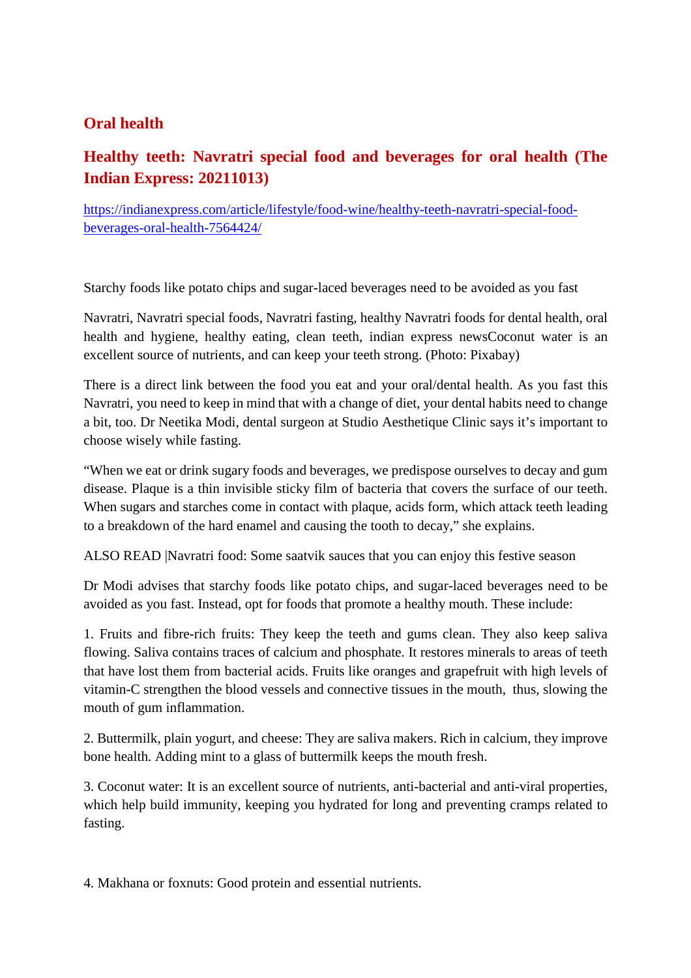#### **Oral health**

# **Healthy teeth: Navratri special food and beverages for oral health (The Indian Express: 20211013)**

https://indianexpress.com/article/lifestyle/food-wine/healthy-teeth-navratri-special-foodbeverages-oral-health-7564424/

Starchy foods like potato chips and sugar-laced beverages need to be avoided as you fast

Navratri, Navratri special foods, Navratri fasting, healthy Navratri foods for dental health, oral health and hygiene, healthy eating, clean teeth, indian express newsCoconut water is an excellent source of nutrients, and can keep your teeth strong. (Photo: Pixabay)

There is a direct link between the food you eat and your oral/dental health. As you fast this Navratri, you need to keep in mind that with a change of diet, your dental habits need to change a bit, too. Dr Neetika Modi, dental surgeon at Studio Aesthetique Clinic says it's important to choose wisely while fasting.

"When we eat or drink sugary foods and beverages, we predispose ourselves to decay and gum disease. Plaque is a thin invisible sticky film of bacteria that covers the surface of our teeth. When sugars and starches come in contact with plaque, acids form, which attack teeth leading to a breakdown of the hard enamel and causing the tooth to decay," she explains.

ALSO READ |Navratri food: Some saatvik sauces that you can enjoy this festive season

Dr Modi advises that starchy foods like potato chips, and sugar-laced beverages need to be avoided as you fast. Instead, opt for foods that promote a healthy mouth. These include:

1. Fruits and fibre-rich fruits: They keep the teeth and gums clean. They also keep saliva flowing. Saliva contains traces of calcium and phosphate. It restores minerals to areas of teeth that have lost them from bacterial acids. Fruits like oranges and grapefruit with high levels of vitamin-C strengthen the blood vessels and connective tissues in the mouth, thus, slowing the mouth of gum inflammation.

2. Buttermilk, plain yogurt, and cheese: They are saliva makers. Rich in calcium, they improve bone health. Adding mint to a glass of buttermilk keeps the mouth fresh.

3. Coconut water: It is an excellent source of nutrients, anti-bacterial and anti-viral properties, which help build immunity, keeping you hydrated for long and preventing cramps related to fasting.

4. Makhana or foxnuts: Good protein and essential nutrients.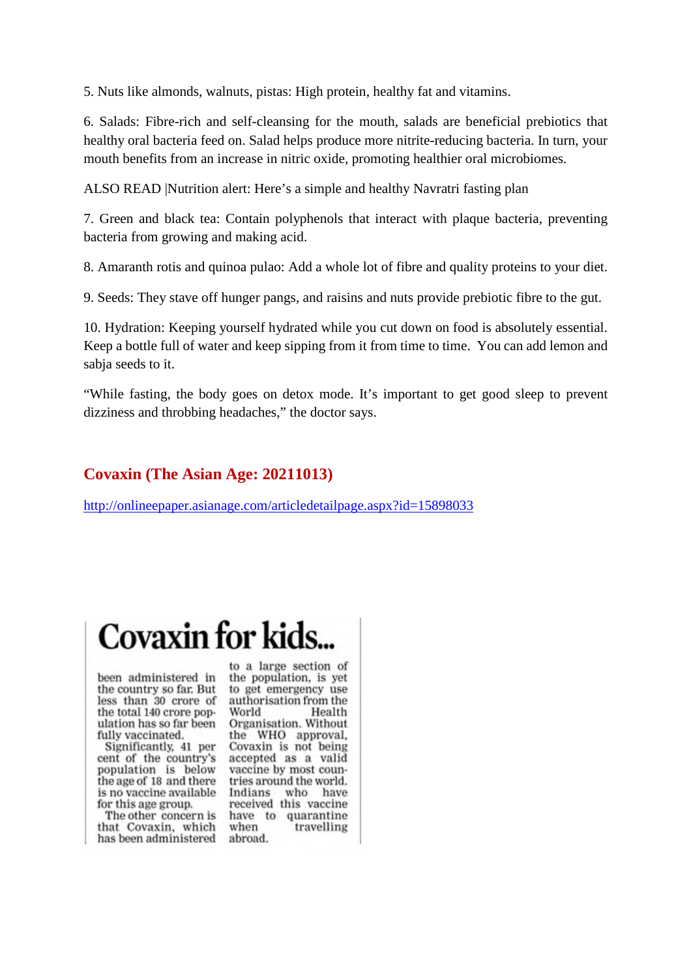5. Nuts like almonds, walnuts, pistas: High protein, healthy fat and vitamins.

6. Salads: Fibre-rich and self-cleansing for the mouth, salads are beneficial prebiotics that healthy oral bacteria feed on. Salad helps produce more nitrite-reducing bacteria. In turn, your mouth benefits from an increase in nitric oxide, promoting healthier oral microbiomes.

ALSO READ |Nutrition alert: Here's a simple and healthy Navratri fasting plan

7. Green and black tea: Contain polyphenols that interact with plaque bacteria, preventing bacteria from growing and making acid.

8. Amaranth rotis and quinoa pulao: Add a whole lot of fibre and quality proteins to your diet.

9. Seeds: They stave off hunger pangs, and raisins and nuts provide prebiotic fibre to the gut.

10. Hydration: Keeping yourself hydrated while you cut down on food is absolutely essential. Keep a bottle full of water and keep sipping from it from time to time. You can add lemon and sabia seeds to it.

"While fasting, the body goes on detox mode. It's important to get good sleep to prevent dizziness and throbbing headaches," the doctor says.

#### **Covaxin (The Asian Age: 20211013)**

http://onlineepaper.asianage.com/articledetailpage.aspx?id=15898033

# **Covaxin for kids**

been administered in the country so far. But less than 30 crore of the total 140 crore population has so far been fully vaccinated.

Significantly, 41 per cent of the country's population is below the age of 18 and there is no vaccine available for this age group.

The other concern is that Covaxin, which has been administered

to a large section of the population, is yet to get emergency use authorisation from the World Health Organisation, Without the WHO approval. Covaxin is not being accepted as a valid vaccine by most countries around the world. Indians who have received this vaccine have to quarantine when travelling abroad.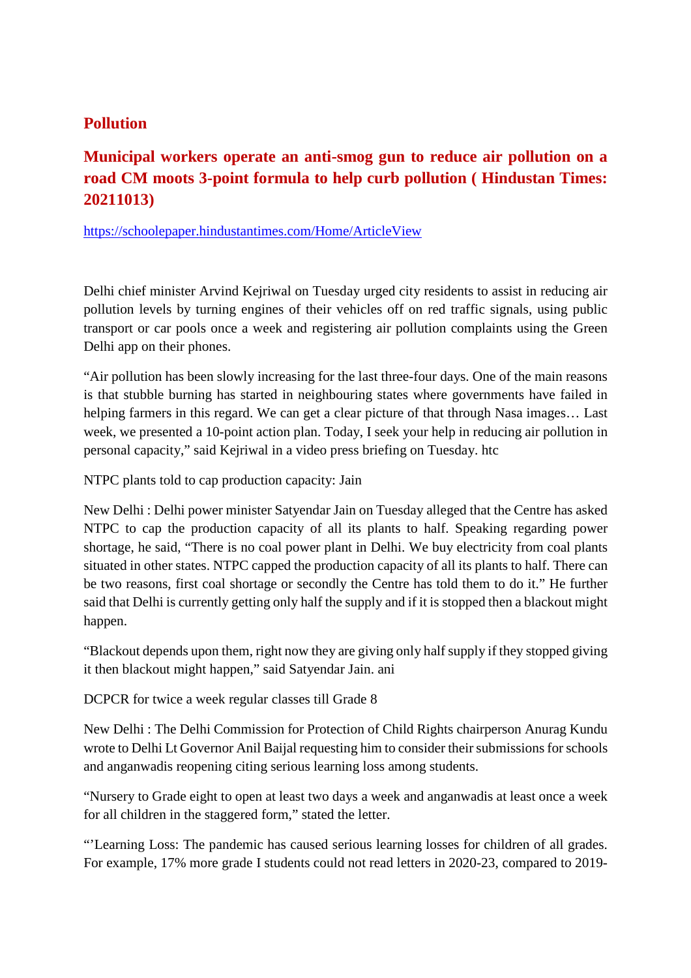#### **Pollution**

# **Municipal workers operate an anti-smog gun to reduce air pollution on a road CM moots 3-point formula to help curb pollution ( Hindustan Times: 20211013)**

https://schoolepaper.hindustantimes.com/Home/ArticleView

Delhi chief minister Arvind Kejriwal on Tuesday urged city residents to assist in reducing air pollution levels by turning engines of their vehicles off on red traffic signals, using public transport or car pools once a week and registering air pollution complaints using the Green Delhi app on their phones.

"Air pollution has been slowly increasing for the last three-four days. One of the main reasons is that stubble burning has started in neighbouring states where governments have failed in helping farmers in this regard. We can get a clear picture of that through Nasa images… Last week, we presented a 10-point action plan. Today, I seek your help in reducing air pollution in personal capacity," said Kejriwal in a video press briefing on Tuesday. htc

NTPC plants told to cap production capacity: Jain

New Delhi : Delhi power minister Satyendar Jain on Tuesday alleged that the Centre has asked NTPC to cap the production capacity of all its plants to half. Speaking regarding power shortage, he said, "There is no coal power plant in Delhi. We buy electricity from coal plants situated in other states. NTPC capped the production capacity of all its plants to half. There can be two reasons, first coal shortage or secondly the Centre has told them to do it." He further said that Delhi is currently getting only half the supply and if it is stopped then a blackout might happen.

"Blackout depends upon them, right now they are giving only half supply if they stopped giving it then blackout might happen," said Satyendar Jain. ani

DCPCR for twice a week regular classes till Grade 8

New Delhi : The Delhi Commission for Protection of Child Rights chairperson Anurag Kundu wrote to Delhi Lt Governor Anil Baijal requesting him to consider their submissions for schools and anganwadis reopening citing serious learning loss among students.

"Nursery to Grade eight to open at least two days a week and anganwadis at least once a week for all children in the staggered form," stated the letter.

"'Learning Loss: The pandemic has caused serious learning losses for children of all grades. For example, 17% more grade I students could not read letters in 2020-23, compared to 2019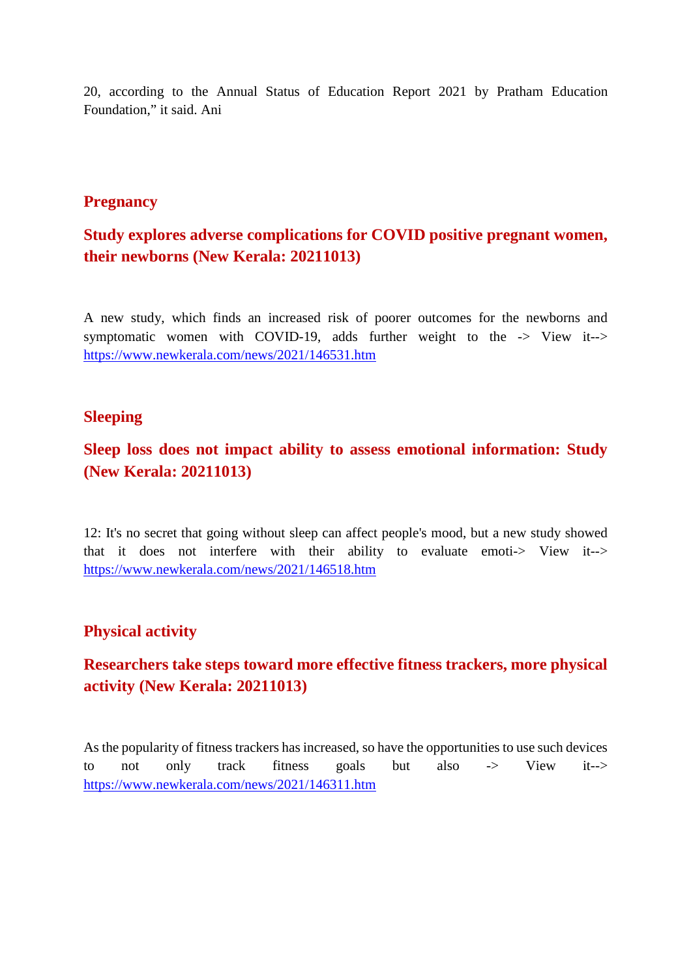20, according to the Annual Status of Education Report 2021 by Pratham Education Foundation," it said. Ani

#### **Pregnancy**

### **Study explores adverse complications for COVID positive pregnant women, their newborns (New Kerala: 20211013)**

A new study, which finds an increased risk of poorer outcomes for the newborns and symptomatic women with COVID-19, adds further weight to the -> View it--> https://www.newkerala.com/news/2021/146531.htm

#### **Sleeping**

#### **Sleep loss does not impact ability to assess emotional information: Study (New Kerala: 20211013)**

12: It's no secret that going without sleep can affect people's mood, but a new study showed that it does not interfere with their ability to evaluate emoti-> View it--> https://www.newkerala.com/news/2021/146518.htm

#### **Physical activity**

# **Researchers take steps toward more effective fitness trackers, more physical activity (New Kerala: 20211013)**

As the popularity of fitness trackers has increased, so have the opportunities to use such devices to not only track fitness goals but also -> View it--> https://www.newkerala.com/news/2021/146311.htm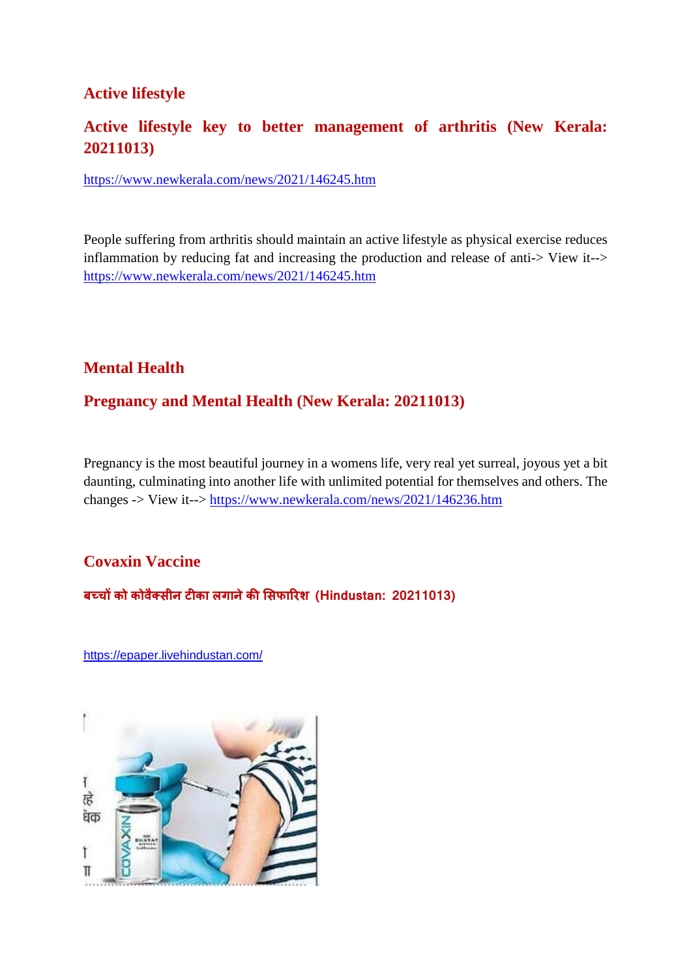#### **Active lifestyle**

### **Active lifestyle key to better management of arthritis (New Kerala: 20211013)**

https://www.newkerala.com/news/2021/146245.htm

People suffering from arthritis should maintain an active lifestyle as physical exercise reduces inflammation by reducing fat and increasing the production and release of anti-> View it--> https://www.newkerala.com/news/2021/146245.htm

#### **Mental Health**

#### **Pregnancy and Mental Health (New Kerala: 20211013)**

Pregnancy is the most beautiful journey in a womens life, very real yet surreal, joyous yet a bit daunting, culminating into another life with unlimited potential for themselves and others. The changes -> View it--> https://www.newkerala.com/news/2021/146236.htm

#### **Covaxin Vaccine**

**बचको कोवै सीन टका लगानेकसफारश (Hindustan: 20211013)**

https://epaper.livehindustan.com/

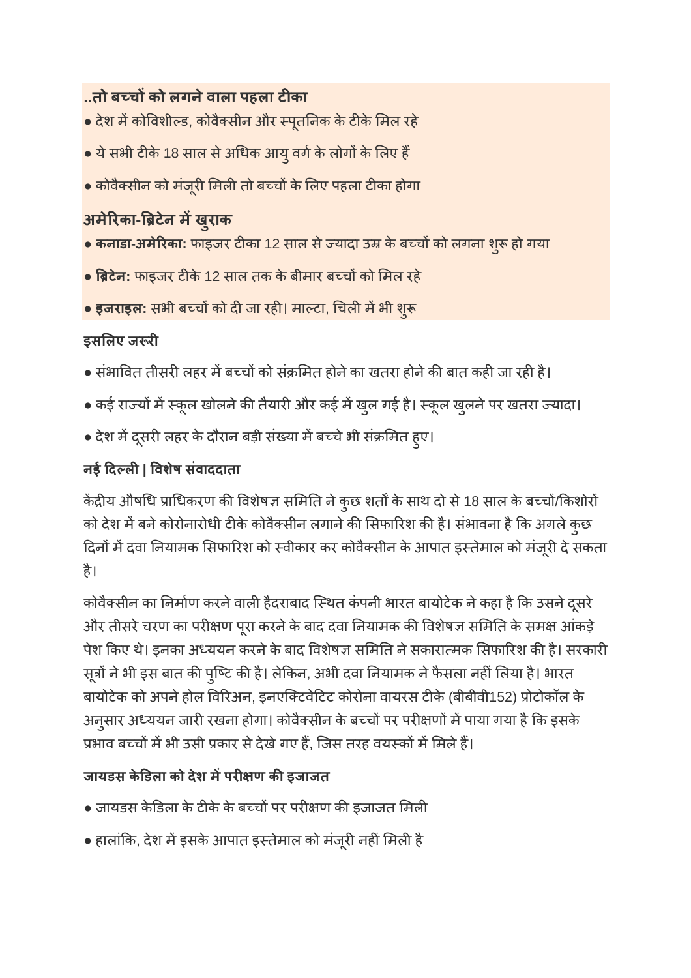# **..तो बचको लगनेवाला पहला टका**

- देश में कोविशील्ड, कोवैक्सीन और स्पूतनिक के टीके मिल रहे
- $\bullet$  ये सभी टीके 18 साल से अधिक आयु वर्ग के लोगों के लिए हैं
- कोवैक्सीन को मंजूरी मिली तो बच्चों के लिए पहला टीका होगा

# **अमेरका-टेन मख ुराक**

- **कनाडा-अमेरिका:** फाइजर टीका 12 साल से ज्यादा उम्र के बच्चों को लगना शुरू हो गया
- **टेन:** फाइजर टके 12 साल तक के बीमार बचको मल रहे
- इजराइल: सभी बच्चों को दी जा रही। माल्टा, चिली में भी शुरू

# **इसलए ज र**

- संभावित तीसरी लहर में बच्चों को संक्रमित होने का खतरा होने की बात कही जा रही है।
- कई राज्यों में स्कूल खोलने की तैयारी और कई में खुल गई है। स्कूल खुलने पर खतरा ज्यादा।
- देश में दूसरी लहर के दौरान बड़ी संख्या में बच्चे भी संक्रमित हुए।

# **नई दल| वशषे संवाददाता**

केंद्रीय औषधि प्राधिकरण की विशेषज्ञ समिति ने कुछ शर्तों के साथ दो से 18 साल के बच्चों/किशोरों को देश में बने कोरोनारोधी टीके कोवैक्सीन लगाने की सिफारिश की है। संभावना है कि अगले कुछ दिनों में दवा नियामक सिफारिश को स्वीकार कर कोवैक्सीन के आपात इस्तेमाल को मंजूरी दे सकता है।

कोवैक्सीन का निर्माण करने वाली हैदराबाद स्थित कंपनी भारत बायोटेक ने कहा है कि उसने दूसरे और तीसरे चरण का परीक्षण पूरा करने के बाद दवा नियामक की विशेषज्ञ समिति के समक्ष आंकड़े पेश किए थे। इनका अध्ययन करने के बाद विशेषज्ञ समिति ने सकारात्मक सिफारिश की है। सरकारी सूत्रों ने भी इस बात की पुष्टि की है। लेकिन, अभी दवा नियामक ने फैसला नहीं लिया है। भारत बायोटेक को अपने होल विरिअन, इनएक्टिवेटिट कोरोना वायरस टीके (बीबीवी152) प्रोटोकॉल के अनुसार अध्ययन जारी रखना होगा। कोवैक्सीन के बच्चों पर परीक्षणों में पाया गया है कि इसके प्रभाव बच्चों में भी उसी प्रकार से देखे गए हैं, जिस तरह वयस्कों में मिले हैं।

# **जायडस केडला को देश मपर ण कइजाजत**

- जायडस केडिला के टीके के बच्चों पर परीक्षण की इजाजत मिली
- हालांकि, देश में इसके आपात इस्तेमाल को मंजूरी नहीं मिली है